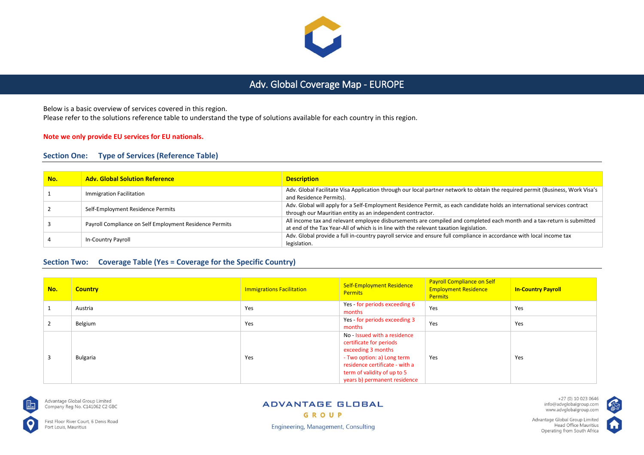

# Adv. Global Coverage Map - EUROPE

Below is a basic overview of services covered in this region.

Please refer to the solutions reference table to understand the type of solutions available for each country in this region.

#### **Note we only provide EU services for EU nationals.**

### **Section One: Type of Services (Reference Table)**

| No. | <b>Adv. Global Solution Reference</b>                   | <b>Description</b>                                                                                                                                                                                               |
|-----|---------------------------------------------------------|------------------------------------------------------------------------------------------------------------------------------------------------------------------------------------------------------------------|
|     | Immigration Facilitation                                | Adv. Global Facilitate Visa Application through our local partner network to obtain the required permit (Business, Work Visa's<br>and Residence Permits).                                                        |
|     | Self-Employment Residence Permits                       | Adv. Global will apply for a Self-Employment Residence Permit, as each candidate holds an international services contract<br>through our Mauritian entity as an independent contractor.                          |
|     | Payroll Compliance on Self Employment Residence Permits | All income tax and relevant employee disbursements are compiled and completed each month and a tax-return is submitted<br>at end of the Tax Year-All of which is in line with the relevant taxation legislation. |
|     | In-Country Payroll                                      | Adv. Global provide a full in-country payroll service and ensure full compliance in accordance with local income tax<br>legislation.                                                                             |

### **Section Two: Coverage Table (Yes = Coverage for the Specific Country)**

| No. | <b>Country</b> | <b>Immigrations Facilitation</b> | <b>Self-Employment Residence</b><br><b>Permits</b>                                                                                                                                                           | <b>Payroll Compliance on Self</b><br><b>Employment Residence</b><br><b>Permits</b> | <b>In-Country Payroll</b> |
|-----|----------------|----------------------------------|--------------------------------------------------------------------------------------------------------------------------------------------------------------------------------------------------------------|------------------------------------------------------------------------------------|---------------------------|
|     | Austria        | Yes                              | Yes - for periods exceeding 6<br>months                                                                                                                                                                      | Yes                                                                                | Yes                       |
|     | Belgium        | Yes                              | Yes - for periods exceeding 3<br>months                                                                                                                                                                      | Yes                                                                                | Yes                       |
|     | Bulgaria       | Yes                              | No - Issued with a residence<br>certificate for periods<br>exceeding 3 months<br>- Two option: a) Long term<br>residence certificate - with a<br>term of validity of up to 5<br>years b) permanent residence | Yes                                                                                | Yes                       |



Advantage Global Group Limited Company Reg No. C141062 C2 GBC

First Floor River Court, 6 Denis Road Port Louis, Mauritius

#### **ADVANTAGE GLOBAL** GROUP

**Engineering, Management, Consulting** 

+27 (0) 10 023 0646 info@advglobalgroup.com<br>www.advglobalgroup.com

Advantage Global Group Limited

Operating from South Africa

Head Office Mauritius IпI

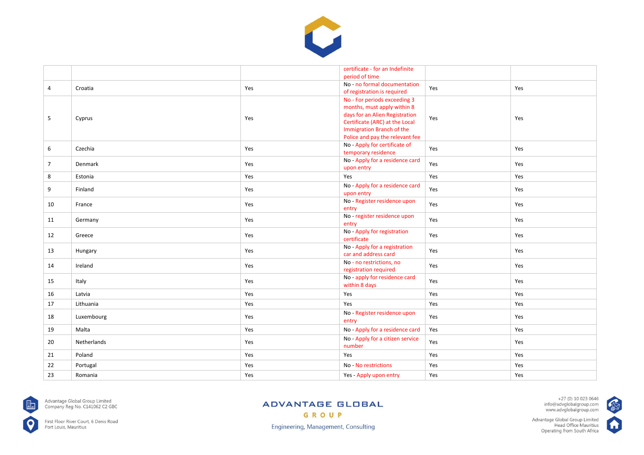

|                |             |     | certificate - for an Indefinite<br>period of time                                                                                                                                               |     |     |
|----------------|-------------|-----|-------------------------------------------------------------------------------------------------------------------------------------------------------------------------------------------------|-----|-----|
| 4              | Croatia     | Yes | No - no formal documentation<br>of registration is required                                                                                                                                     | Yes | Yes |
| 5              | Cyprus      | Yes | No - For periods exceeding 3<br>months, must apply within 8<br>days for an Alien Registration<br>Certificate (ARC) at the Local<br>Immigration Branch of the<br>Police and pay the relevant fee | Yes | Yes |
| 6              | Czechia     | Yes | No - Apply for certificate of<br>temporary residence                                                                                                                                            | Yes | Yes |
| $\overline{7}$ | Denmark     | Yes | No - Apply for a residence card<br>upon entry                                                                                                                                                   | Yes | Yes |
| 8              | Estonia     | Yes | Yes                                                                                                                                                                                             | Yes | Yes |
| 9              | Finland     | Yes | No - Apply for a residence card<br>upon entry                                                                                                                                                   | Yes | Yes |
| 10             | France      | Yes | No - Register residence upon<br>entry                                                                                                                                                           | Yes | Yes |
| 11             | Germany     | Yes | No - register residence upon<br>entry                                                                                                                                                           | Yes | Yes |
| 12             | Greece      | Yes | No - Apply for registration<br>certificate                                                                                                                                                      | Yes | Yes |
| 13             | Hungary     | Yes | No - Apply for a registration<br>car and address card                                                                                                                                           | Yes | Yes |
| 14             | Ireland     | Yes | No - no restrictions, no<br>registration required                                                                                                                                               | Yes | Yes |
| 15             | Italy       | Yes | No - apply for residence card<br>within 8 days                                                                                                                                                  | Yes | Yes |
| 16             | Latvia      | Yes | Yes                                                                                                                                                                                             | Yes | Yes |
| 17             | Lithuania   | Yes | Yes                                                                                                                                                                                             | Yes | Yes |
| 18             | Luxembourg  | Yes | No - Register residence upon<br>entry                                                                                                                                                           | Yes | Yes |
| 19             | Malta       | Yes | No - Apply for a residence card                                                                                                                                                                 | Yes | Yes |
| 20             | Netherlands | Yes | No - Apply for a citizen service<br>number                                                                                                                                                      | Yes | Yes |
| 21             | Poland      | Yes | Yes                                                                                                                                                                                             | Yes | Yes |
| 22             | Portugal    | Yes | No - No restrictions                                                                                                                                                                            | Yes | Yes |
| 23             | Romania     | Yes | Yes - Apply upon entry                                                                                                                                                                          | Yes | Yes |



Advantage Global Group Limited<br>Company Reg No. C141062 C2 GBC

First Floor River Court, 6 Denis Road<br>Port Louis, Mauritius

## **ADVANTAGE GLOBAL**

GROUP

+27 (0) 10 023 0646<br>info@advglobalgroup.com<br>www.advglobalgroup.com

Advantage Global Group Limited<br>Head Office Mauritius<br>Operating from South Africa



**CAN** 

**Engineering, Management, Consulting**